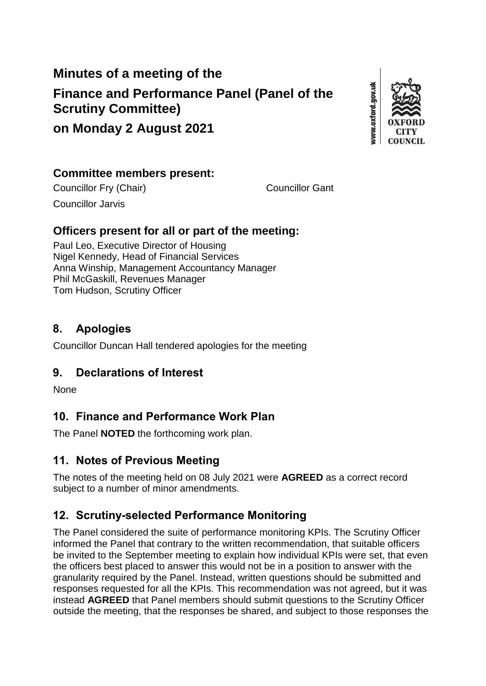# **Minutes of a meeting of the Finance and Performance Panel (Panel of the Scrutiny Committee)**



### **on Monday 2 August 2021**

### **Committee members present:**

Councillor Fry (Chair) Councillor Gant

Councillor Jarvis

### **Officers present for all or part of the meeting:**

Paul Leo, Executive Director of Housing Nigel Kennedy, Head of Financial Services Anna Winship, Management Accountancy Manager Phil McGaskill, Revenues Manager Tom Hudson, Scrutiny Officer

### **8. Apologies**

Councillor Duncan Hall tendered apologies for the meeting

### **9. Declarations of Interest**

None

# **10. Finance and Performance Work Plan**

The Panel **NOTED** the forthcoming work plan.

### **11. Notes of Previous Meeting**

The notes of the meeting held on 08 July 2021 were **AGREED** as a correct record subject to a number of minor amendments.

# **12. Scrutiny-selected Performance Monitoring**

The Panel considered the suite of performance monitoring KPIs. The Scrutiny Officer informed the Panel that contrary to the written recommendation, that suitable officers be invited to the September meeting to explain how individual KPIs were set, that even the officers best placed to answer this would not be in a position to answer with the granularity required by the Panel. Instead, written questions should be submitted and responses requested for all the KPIs. This recommendation was not agreed, but it was instead **AGREED** that Panel members should submit questions to the Scrutiny Officer outside the meeting, that the responses be shared, and subject to those responses the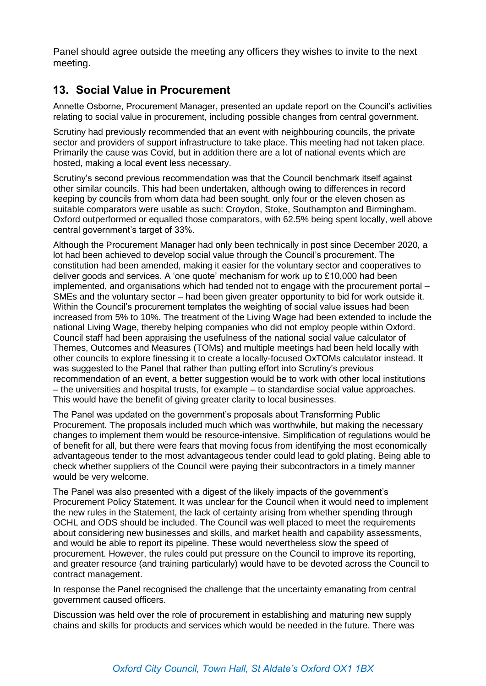Panel should agree outside the meeting any officers they wishes to invite to the next meeting.

#### **13. Social Value in Procurement**

Annette Osborne, Procurement Manager, presented an update report on the Council's activities relating to social value in procurement, including possible changes from central government.

Scrutiny had previously recommended that an event with neighbouring councils, the private sector and providers of support infrastructure to take place. This meeting had not taken place. Primarily the cause was Covid, but in addition there are a lot of national events which are hosted, making a local event less necessary.

Scrutiny's second previous recommendation was that the Council benchmark itself against other similar councils. This had been undertaken, although owing to differences in record keeping by councils from whom data had been sought, only four or the eleven chosen as suitable comparators were usable as such: Croydon, Stoke, Southampton and Birmingham. Oxford outperformed or equalled those comparators, with 62.5% being spent locally, well above central government's target of 33%.

Although the Procurement Manager had only been technically in post since December 2020, a lot had been achieved to develop social value through the Council's procurement. The constitution had been amended, making it easier for the voluntary sector and cooperatives to deliver goods and services. A 'one quote' mechanism for work up to £10,000 had been implemented, and organisations which had tended not to engage with the procurement portal – SMEs and the voluntary sector – had been given greater opportunity to bid for work outside it. Within the Council's procurement templates the weighting of social value issues had been increased from 5% to 10%. The treatment of the Living Wage had been extended to include the national Living Wage, thereby helping companies who did not employ people within Oxford. Council staff had been appraising the usefulness of the national social value calculator of Themes, Outcomes and Measures (TOMs) and multiple meetings had been held locally with other councils to explore finessing it to create a locally-focused OxTOMs calculator instead. It was suggested to the Panel that rather than putting effort into Scrutiny's previous recommendation of an event, a better suggestion would be to work with other local institutions – the universities and hospital trusts, for example – to standardise social value approaches. This would have the benefit of giving greater clarity to local businesses.

The Panel was updated on the government's proposals about Transforming Public Procurement. The proposals included much which was worthwhile, but making the necessary changes to implement them would be resource-intensive. Simplification of regulations would be of benefit for all, but there were fears that moving focus from identifying the most economically advantageous tender to the most advantageous tender could lead to gold plating. Being able to check whether suppliers of the Council were paying their subcontractors in a timely manner would be very welcome.

The Panel was also presented with a digest of the likely impacts of the government's Procurement Policy Statement. It was unclear for the Council when it would need to implement the new rules in the Statement, the lack of certainty arising from whether spending through OCHL and ODS should be included. The Council was well placed to meet the requirements about considering new businesses and skills, and market health and capability assessments, and would be able to report its pipeline. These would nevertheless slow the speed of procurement. However, the rules could put pressure on the Council to improve its reporting, and greater resource (and training particularly) would have to be devoted across the Council to contract management.

In response the Panel recognised the challenge that the uncertainty emanating from central government caused officers.

Discussion was held over the role of procurement in establishing and maturing new supply chains and skills for products and services which would be needed in the future. There was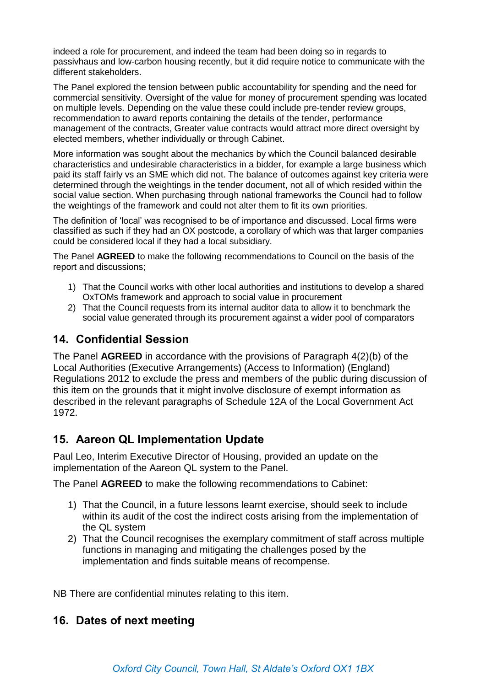indeed a role for procurement, and indeed the team had been doing so in regards to passivhaus and low-carbon housing recently, but it did require notice to communicate with the different stakeholders.

The Panel explored the tension between public accountability for spending and the need for commercial sensitivity. Oversight of the value for money of procurement spending was located on multiple levels. Depending on the value these could include pre-tender review groups, recommendation to award reports containing the details of the tender, performance management of the contracts, Greater value contracts would attract more direct oversight by elected members, whether individually or through Cabinet.

More information was sought about the mechanics by which the Council balanced desirable characteristics and undesirable characteristics in a bidder, for example a large business which paid its staff fairly vs an SME which did not. The balance of outcomes against key criteria were determined through the weightings in the tender document, not all of which resided within the social value section. When purchasing through national frameworks the Council had to follow the weightings of the framework and could not alter them to fit its own priorities.

The definition of 'local' was recognised to be of importance and discussed. Local firms were classified as such if they had an OX postcode, a corollary of which was that larger companies could be considered local if they had a local subsidiary.

The Panel **AGREED** to make the following recommendations to Council on the basis of the report and discussions;

- 1) That the Council works with other local authorities and institutions to develop a shared OxTOMs framework and approach to social value in procurement
- 2) That the Council requests from its internal auditor data to allow it to benchmark the social value generated through its procurement against a wider pool of comparators

#### **14. Confidential Session**

The Panel **AGREED** in accordance with the provisions of Paragraph 4(2)(b) of the Local Authorities (Executive Arrangements) (Access to Information) (England) Regulations 2012 to exclude the press and members of the public during discussion of this item on the grounds that it might involve disclosure of exempt information as described in the relevant paragraphs of Schedule 12A of the Local Government Act 1972.

#### **15. Aareon QL Implementation Update**

Paul Leo, Interim Executive Director of Housing, provided an update on the implementation of the Aareon QL system to the Panel.

The Panel **AGREED** to make the following recommendations to Cabinet:

- 1) That the Council, in a future lessons learnt exercise, should seek to include within its audit of the cost the indirect costs arising from the implementation of the QL system
- 2) That the Council recognises the exemplary commitment of staff across multiple functions in managing and mitigating the challenges posed by the implementation and finds suitable means of recompense.

NB There are confidential minutes relating to this item.

#### **16. Dates of next meeting**